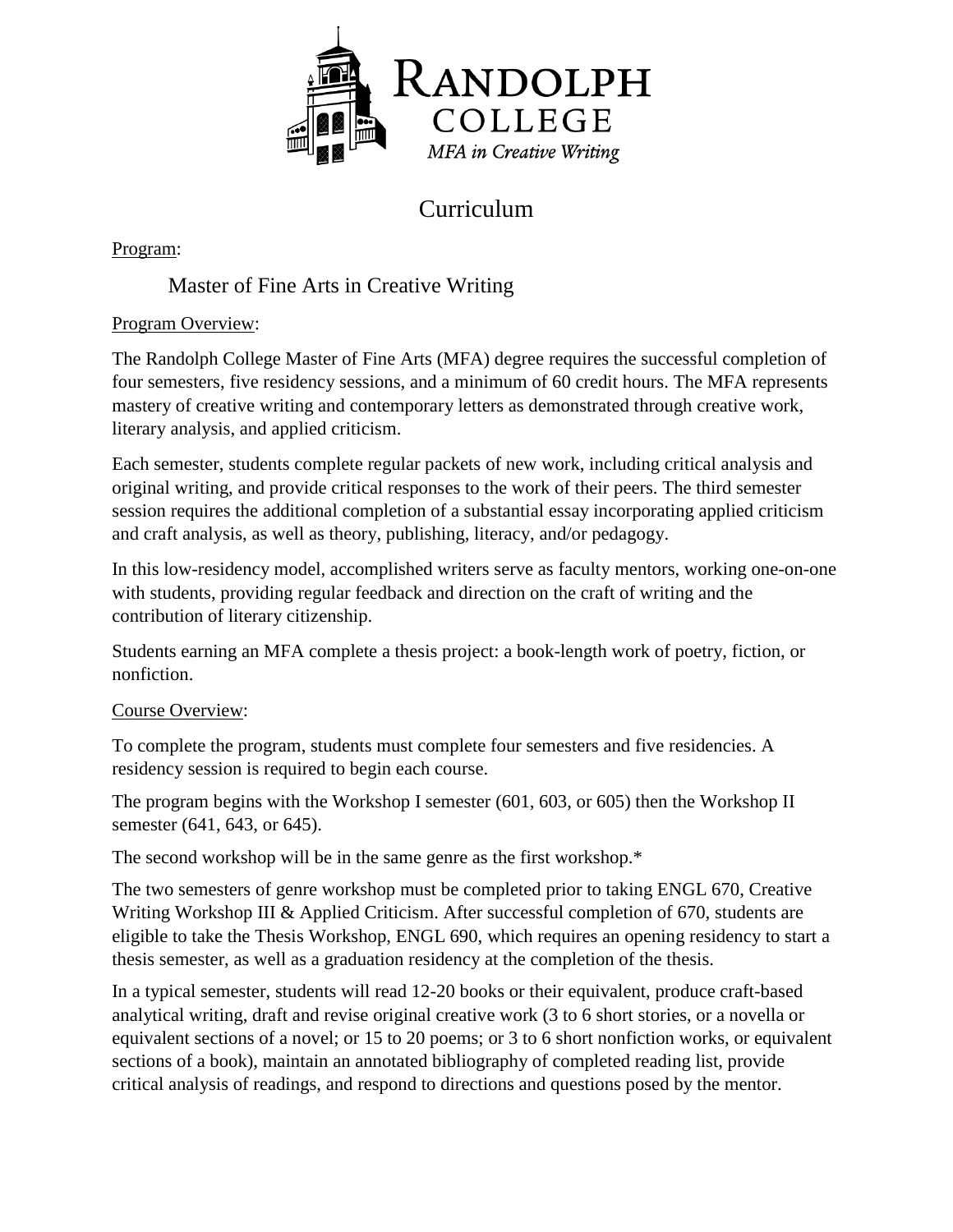

# Curriculum

Program:

# Master of Fine Arts in Creative Writing

## Program Overview:

The Randolph College Master of Fine Arts (MFA) degree requires the successful completion of four semesters, five residency sessions, and a minimum of 60 credit hours. The MFA represents mastery of creative writing and contemporary letters as demonstrated through creative work, literary analysis, and applied criticism.

Each semester, students complete regular packets of new work, including critical analysis and original writing, and provide critical responses to the work of their peers. The third semester session requires the additional completion of a substantial essay incorporating applied criticism and craft analysis, as well as theory, publishing, literacy, and/or pedagogy.

In this low-residency model, accomplished writers serve as faculty mentors, working one-on-one with students, providing regular feedback and direction on the craft of writing and the contribution of literary citizenship.

Students earning an MFA complete a thesis project: a book-length work of poetry, fiction, or nonfiction.

## Course Overview:

To complete the program, students must complete four semesters and five residencies. A residency session is required to begin each course.

The program begins with the Workshop I semester (601, 603, or 605) then the Workshop II semester (641, 643, or 645).

The second workshop will be in the same genre as the first workshop.\*

The two semesters of genre workshop must be completed prior to taking ENGL 670, Creative Writing Workshop III & Applied Criticism. After successful completion of 670, students are eligible to take the Thesis Workshop, ENGL 690, which requires an opening residency to start a thesis semester, as well as a graduation residency at the completion of the thesis.

In a typical semester, students will read 12-20 books or their equivalent, produce craft-based analytical writing, draft and revise original creative work (3 to 6 short stories, or a novella or equivalent sections of a novel; or 15 to 20 poems; or 3 to 6 short nonfiction works, or equivalent sections of a book), maintain an annotated bibliography of completed reading list, provide critical analysis of readings, and respond to directions and questions posed by the mentor.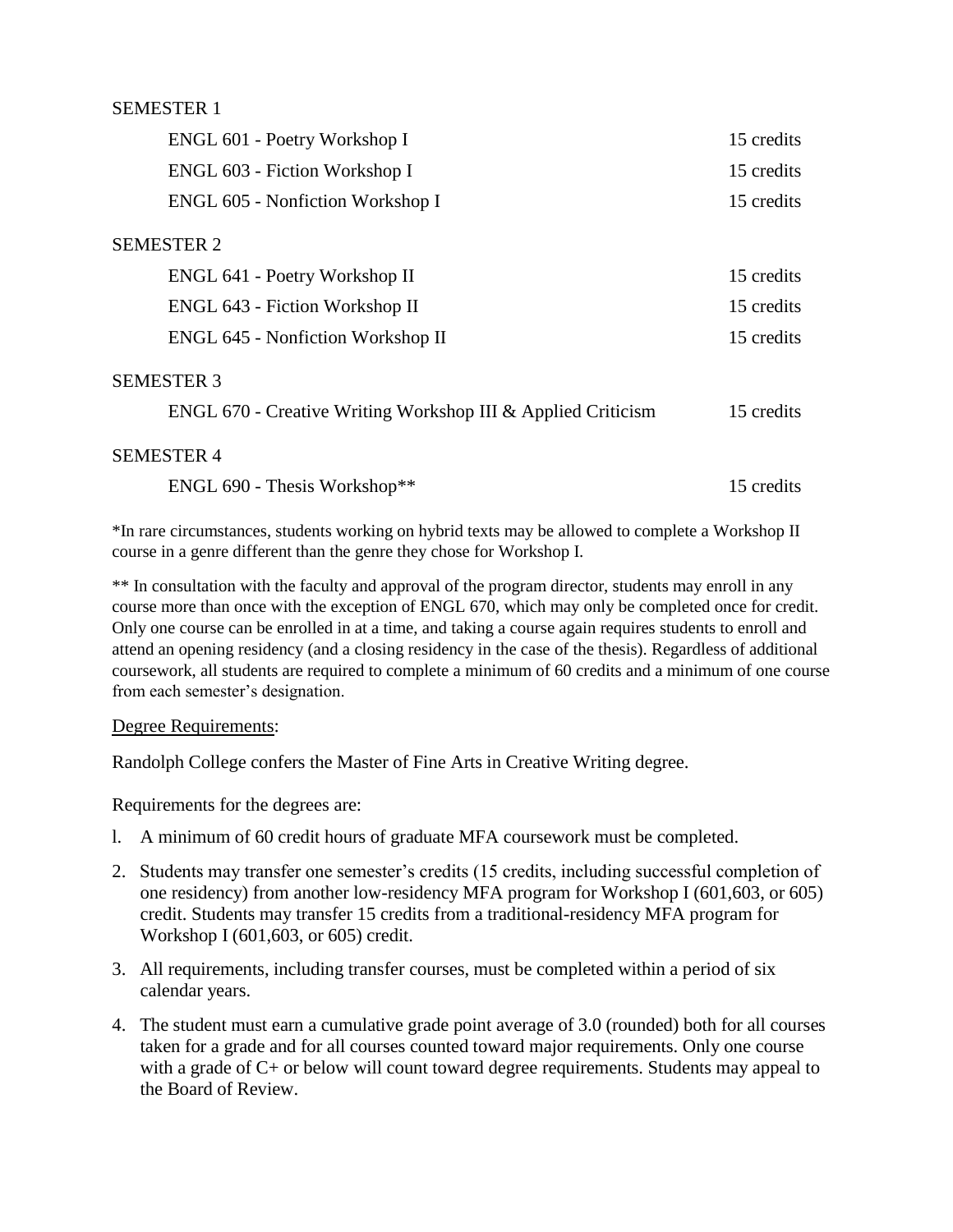### SEMESTER 1

| ENGL 601 - Poetry Workshop I                                 | 15 credits |
|--------------------------------------------------------------|------------|
| ENGL 603 - Fiction Workshop I                                | 15 credits |
| ENGL 605 - Nonfiction Workshop I                             | 15 credits |
| <b>SEMESTER 2</b>                                            |            |
| ENGL 641 - Poetry Workshop II                                | 15 credits |
| ENGL 643 - Fiction Workshop II                               | 15 credits |
| <b>ENGL 645 - Nonfiction Workshop II</b>                     | 15 credits |
| <b>SEMESTER 3</b>                                            |            |
| ENGL 670 - Creative Writing Workshop III & Applied Criticism | 15 credits |
| <b>SEMESTER 4</b>                                            |            |
| ENGL 690 - Thesis Workshop**                                 | 15 credits |

\*In rare circumstances, students working on hybrid texts may be allowed to complete a Workshop II course in a genre different than the genre they chose for Workshop I.

\*\* In consultation with the faculty and approval of the program director, students may enroll in any course more than once with the exception of ENGL 670, which may only be completed once for credit. Only one course can be enrolled in at a time, and taking a course again requires students to enroll and attend an opening residency (and a closing residency in the case of the thesis). Regardless of additional coursework, all students are required to complete a minimum of 60 credits and a minimum of one course from each semester's designation.

#### Degree Requirements:

Randolph College confers the Master of Fine Arts in Creative Writing degree.

Requirements for the degrees are:

- l. A minimum of 60 credit hours of graduate MFA coursework must be completed.
- 2. Students may transfer one semester's credits (15 credits, including successful completion of one residency) from another low-residency MFA program for Workshop I (601,603, or 605) credit. Students may transfer 15 credits from a traditional-residency MFA program for Workshop I (601,603, or 605) credit.
- 3. All requirements, including transfer courses, must be completed within a period of six calendar years.
- 4. The student must earn a cumulative grade point average of 3.0 (rounded) both for all courses taken for a grade and for all courses counted toward major requirements. Only one course with a grade of  $C<sub>+</sub>$  or below will count toward degree requirements. Students may appeal to the Board of Review.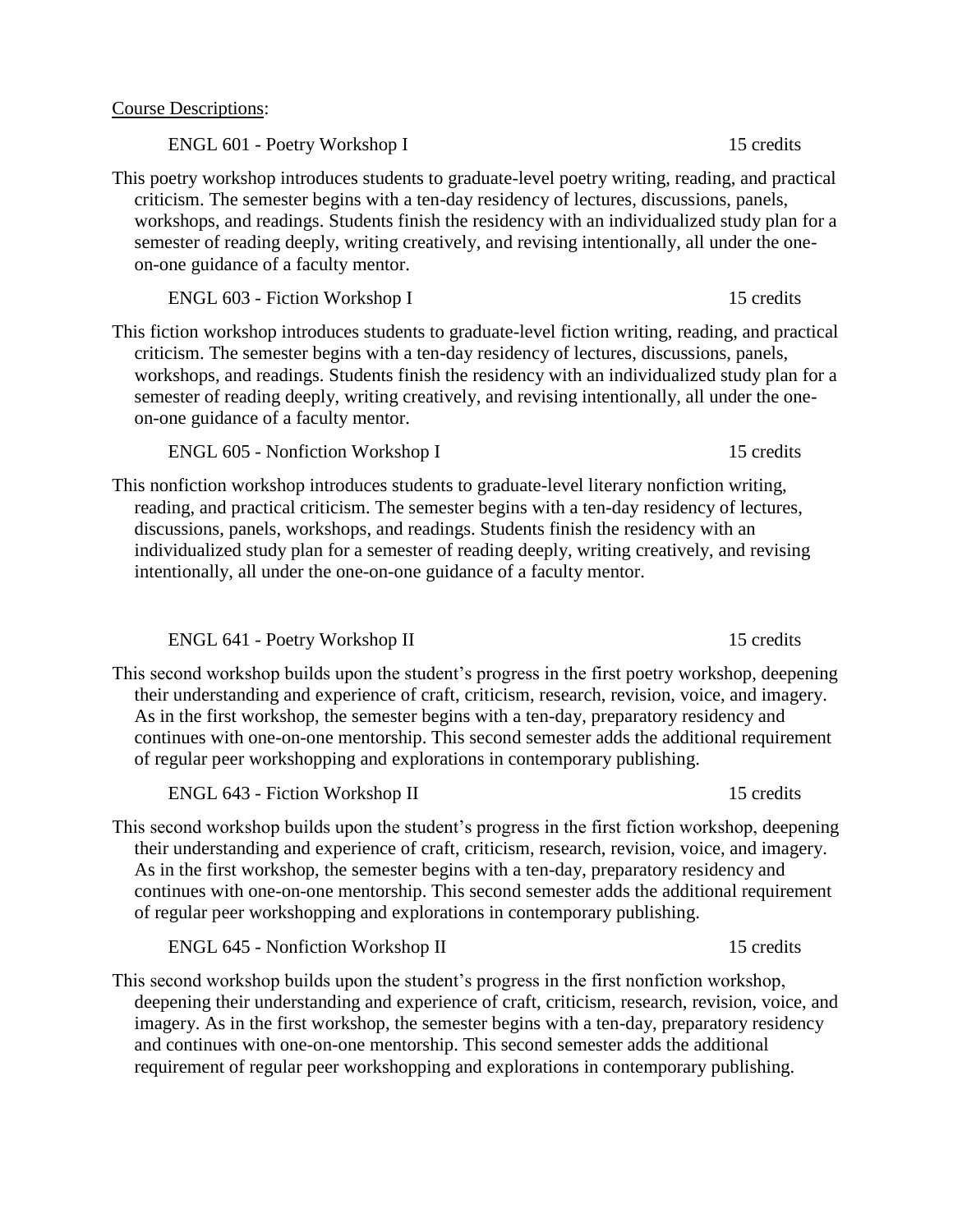Course Descriptions:

ENGL 601 - Poetry Workshop I 15 credits

This poetry workshop introduces students to graduate-level poetry writing, reading, and practical criticism. The semester begins with a ten-day residency of lectures, discussions, panels, workshops, and readings. Students finish the residency with an individualized study plan for a semester of reading deeply, writing creatively, and revising intentionally, all under the oneon-one guidance of a faculty mentor.

ENGL 603 - Fiction Workshop I 15 credits

This fiction workshop introduces students to graduate-level fiction writing, reading, and practical criticism. The semester begins with a ten-day residency of lectures, discussions, panels, workshops, and readings. Students finish the residency with an individualized study plan for a semester of reading deeply, writing creatively, and revising intentionally, all under the oneon-one guidance of a faculty mentor.

ENGL 605 - Nonfiction Workshop I 15 credits

This nonfiction workshop introduces students to graduate-level literary nonfiction writing, reading, and practical criticism. The semester begins with a ten-day residency of lectures, discussions, panels, workshops, and readings. Students finish the residency with an individualized study plan for a semester of reading deeply, writing creatively, and revising intentionally, all under the one-on-one guidance of a faculty mentor.

ENGL 641 - Poetry Workshop II 15 credits

This second workshop builds upon the student's progress in the first poetry workshop, deepening their understanding and experience of craft, criticism, research, revision, voice, and imagery. As in the first workshop, the semester begins with a ten-day, preparatory residency and continues with one-on-one mentorship. This second semester adds the additional requirement of regular peer workshopping and explorations in contemporary publishing.

ENGL 643 - Fiction Workshop II 15 credits

This second workshop builds upon the student's progress in the first fiction workshop, deepening their understanding and experience of craft, criticism, research, revision, voice, and imagery. As in the first workshop, the semester begins with a ten-day, preparatory residency and continues with one-on-one mentorship. This second semester adds the additional requirement of regular peer workshopping and explorations in contemporary publishing.

ENGL 645 - Nonfiction Workshop II 15 credits

This second workshop builds upon the student's progress in the first nonfiction workshop, deepening their understanding and experience of craft, criticism, research, revision, voice, and imagery. As in the first workshop, the semester begins with a ten-day, preparatory residency and continues with one-on-one mentorship. This second semester adds the additional requirement of regular peer workshopping and explorations in contemporary publishing.